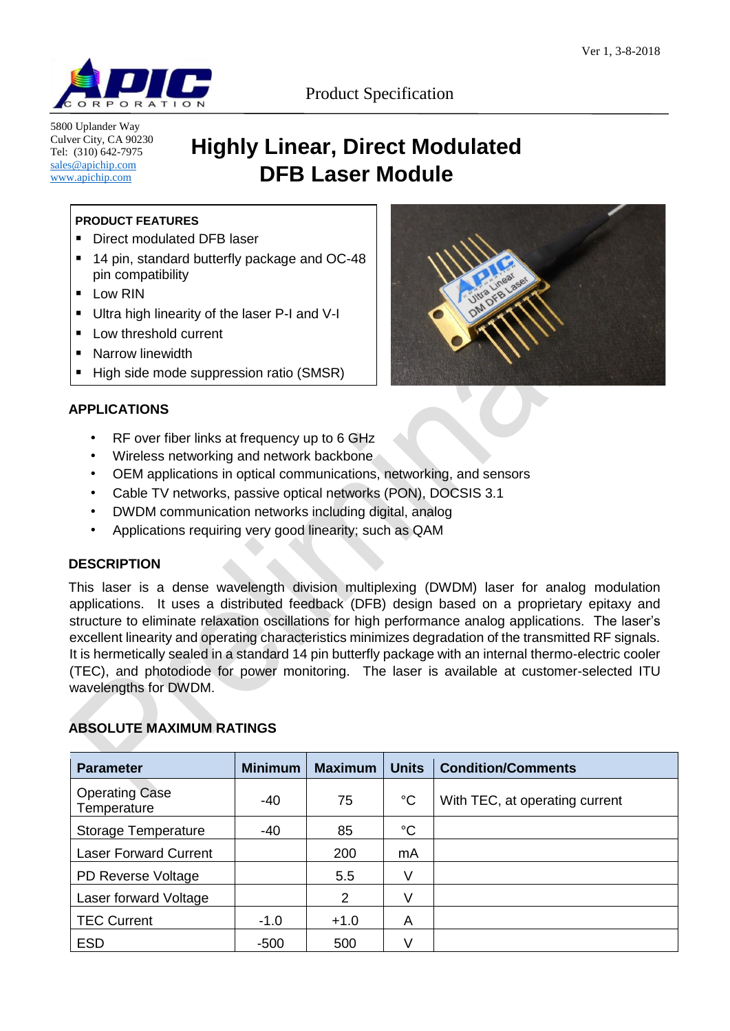

5800 Uplander Way Culver City, CA 90230 Tel: (310) 642-7975 [sales@apichip.com](mailto:sales@apichip.com) [www.apichip.com](http://www.apichip.com/)

Product Specification

# **Highly Linear, Direct Modulated DFB Laser Module**

## **PRODUCT FEATURES**

- Direct modulated DFB laser
- 14 pin, standard butterfly package and OC-48 pin compatibility
- **Low RIN**
- Ultra high linearity of the laser P-I and V-I
- **Low threshold current**
- **Narrow linewidth**
- High side mode suppression ratio (SMSR)

# **APPLICATIONS**

- RF over fiber links at frequency up to 6 GHz
- Wireless networking and network backbone
- OEM applications in optical communications, networking, and sensors
- Cable TV networks, passive optical networks (PON), DOCSIS 3.1
- DWDM communication networks including digital, analog
- Applications requiring very good linearity; such as QAM

## **DESCRIPTION**

This laser is a dense wavelength division multiplexing (DWDM) laser for analog modulation applications. It uses a distributed feedback (DFB) design based on a proprietary epitaxy and structure to eliminate relaxation oscillations for high performance analog applications. The laser's excellent linearity and operating characteristics minimizes degradation of the transmitted RF signals. It is hermetically sealed in a standard 14 pin butterfly package with an internal thermo-electric cooler (TEC), and photodiode for power monitoring. The laser is available at customer-selected ITU wavelengths for DWDM.

# **ABSOLUTE MAXIMUM RATINGS**

| <b>Parameter</b>                     | <b>Minimum</b> | <b>Maximum</b> | <b>Units</b> | <b>Condition/Comments</b>      |
|--------------------------------------|----------------|----------------|--------------|--------------------------------|
| <b>Operating Case</b><br>Temperature | -40            | 75             | $^{\circ}C$  | With TEC, at operating current |
| <b>Storage Temperature</b>           | $-40$          | 85             | $^{\circ}C$  |                                |
| <b>Laser Forward Current</b>         |                | 200            | mA           |                                |
| PD Reverse Voltage                   |                | 5.5            | V            |                                |
| Laser forward Voltage                |                | $\overline{2}$ | V            |                                |
| <b>TEC Current</b>                   | $-1.0$         | $+1.0$         | A            |                                |
| <b>ESD</b>                           | $-500$         | 500            | V            |                                |

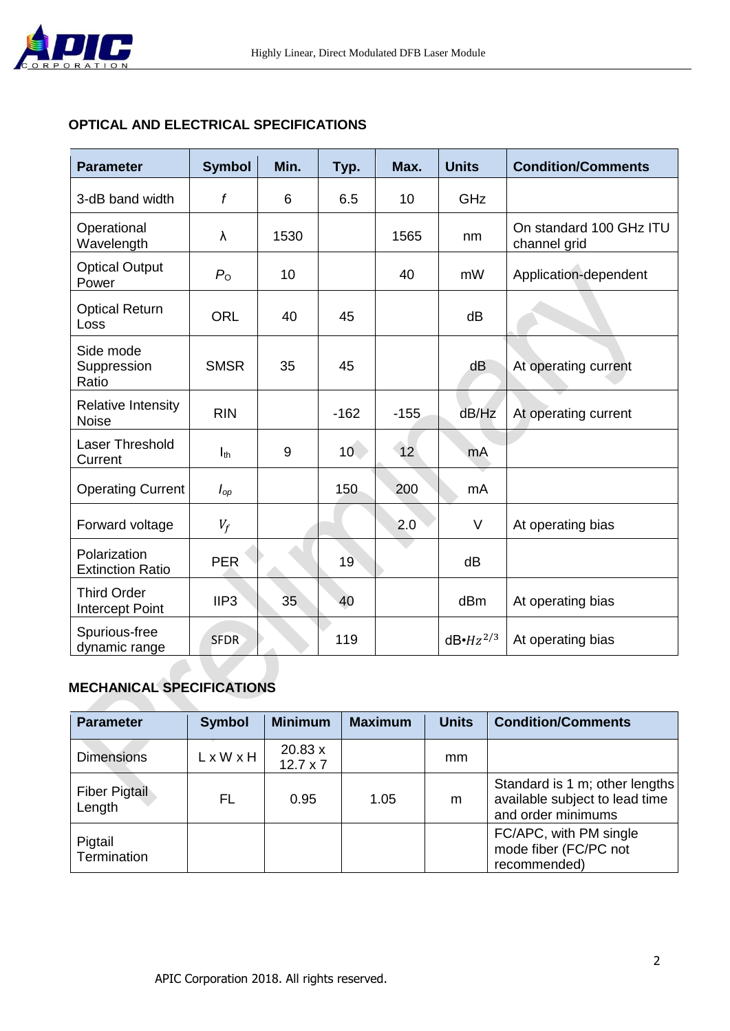

## **OPTICAL AND ELECTRICAL SPECIFICATIONS**

| <b>Parameter</b>                          | <b>Symbol</b>    | Min. | Typ.   | Max.   | <b>Units</b>  | <b>Condition/Comments</b>               |
|-------------------------------------------|------------------|------|--------|--------|---------------|-----------------------------------------|
| 3-dB band width                           | f                | 6    | 6.5    | 10     | GHz           |                                         |
| Operational<br>Wavelength                 | λ                | 1530 |        | 1565   | nm            | On standard 100 GHz ITU<br>channel grid |
| <b>Optical Output</b><br>Power            | $P_{\rm O}$      | 10   |        | 40     | mW            | Application-dependent                   |
| <b>Optical Return</b><br>Loss             | <b>ORL</b>       | 40   | 45     |        | dB            |                                         |
| Side mode<br>Suppression<br>Ratio         | <b>SMSR</b>      | 35   | 45     |        | dB            | At operating current                    |
| <b>Relative Intensity</b><br><b>Noise</b> | <b>RIN</b>       |      | $-162$ | $-155$ | dB/Hz         | At operating current                    |
| Laser Threshold<br>Current                | $I_{th}$         | 9    | 10     | 12     | mA            |                                         |
| <b>Operating Current</b>                  | $I_{op}$         |      | 150    | 200    | mA            |                                         |
| Forward voltage                           | $V_f$            |      |        | 2.0    | V             | At operating bias                       |
| Polarization<br><b>Extinction Ratio</b>   | <b>PER</b>       |      | 19     |        | dB            |                                         |
| <b>Third Order</b><br>Intercept Point     | IIP <sub>3</sub> | 35   | 40     |        | dBm           | At operating bias                       |
| Spurious-free<br>dynamic range            | <b>SFDR</b>      |      | 119    |        | $dB·Hz^{2/3}$ | At operating bias                       |

# **MECHANICAL SPECIFICATIONS**

| <b>Parameter</b>               | <b>Symbol</b> | <b>Minimum</b>             | <b>Maximum</b> | <b>Units</b> | <b>Condition/Comments</b>                                                              |
|--------------------------------|---------------|----------------------------|----------------|--------------|----------------------------------------------------------------------------------------|
| <b>Dimensions</b>              | LxWxH         | 20.83 x<br>$12.7 \times 7$ |                | mm           |                                                                                        |
| <b>Fiber Pigtail</b><br>Length | FL            | 0.95                       | 1.05           | m            | Standard is 1 m; other lengths<br>available subject to lead time<br>and order minimums |
| Pigtail<br>Termination         |               |                            |                |              | FC/APC, with PM single<br>mode fiber (FC/PC not<br>recommended)                        |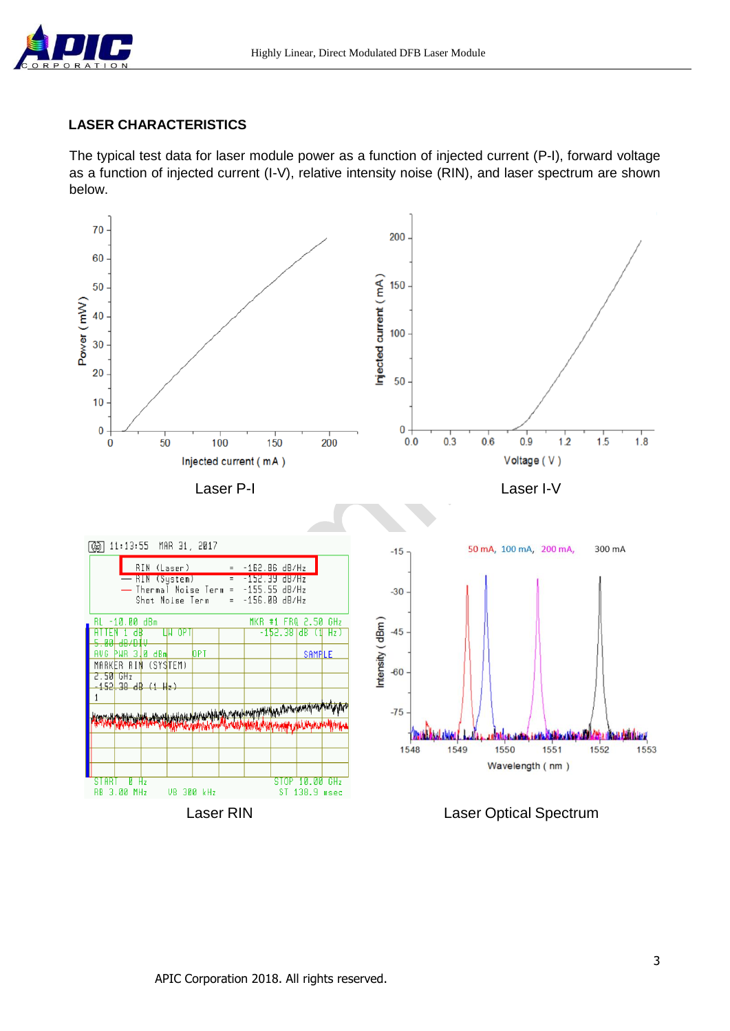

## **LASER CHARACTERISTICS**

The typical test data for laser module power as a function of injected current (P-I), forward voltage as a function of injected current (I-V), relative intensity noise (RIN), and laser spectrum are shown below.

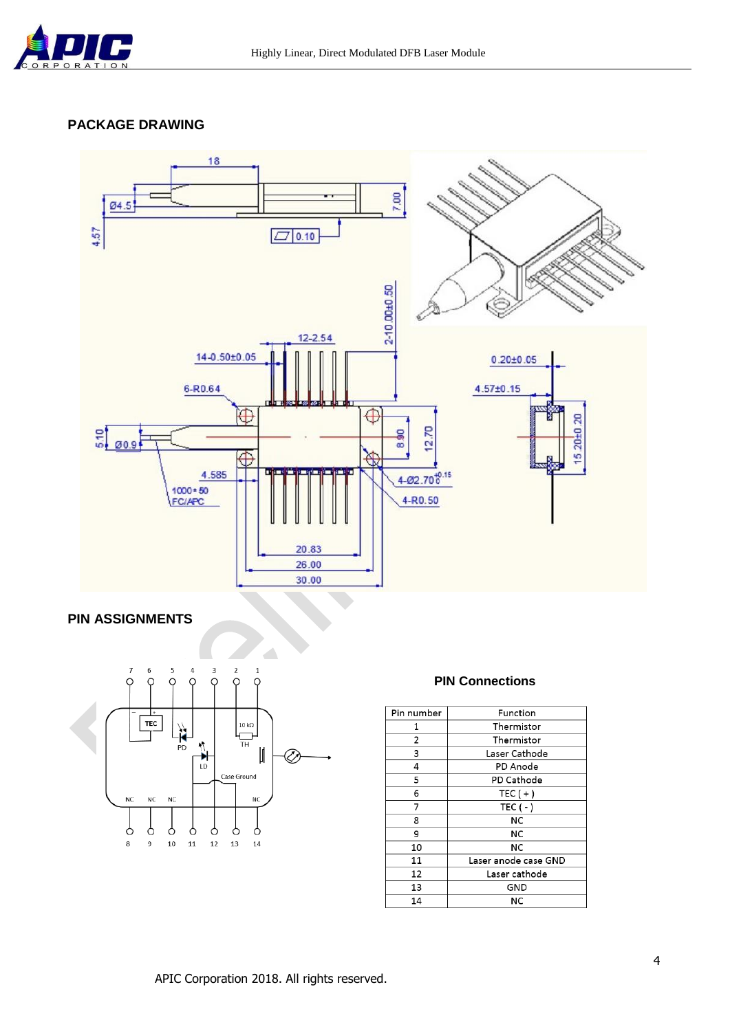

### **PACKAGE DRAWING**



#### **PIN ASSIGNMENTS**



#### **PIN Connections**

| Pin number | Function             |
|------------|----------------------|
| 1          | Thermistor           |
| 2          | Thermistor           |
| 3          | Laser Cathode        |
| 4          | PD Anode             |
| 5          | PD Cathode           |
| 6          | TEC $(+)$            |
| 7          | TEC $(-)$            |
| 8          | NC                   |
| 9          | NC                   |
| 10         | NC                   |
| 11         | Laser anode case GND |
| 12         | Laser cathode        |
| 13         | GND                  |
| 14         | NC                   |